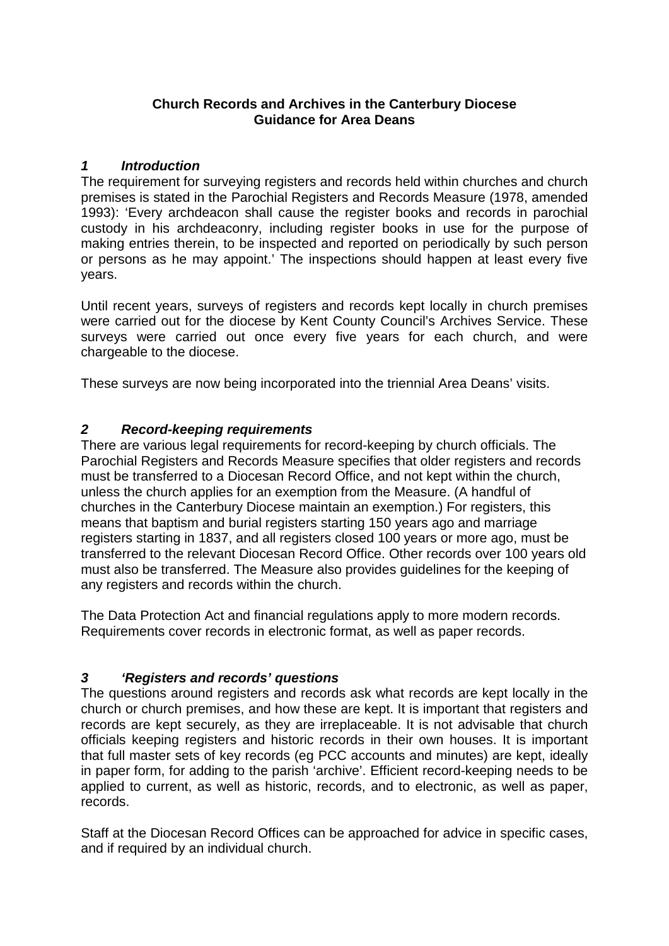### **Church Records and Archives in the Canterbury Diocese Guidance for Area Deans**

### *1 Introduction*

The requirement for surveying registers and records held within churches and church premises is stated in the Parochial Registers and Records Measure (1978, amended 1993): 'Every archdeacon shall cause the register books and records in parochial custody in his archdeaconry, including register books in use for the purpose of making entries therein, to be inspected and reported on periodically by such person or persons as he may appoint.' The inspections should happen at least every five years.

Until recent years, surveys of registers and records kept locally in church premises were carried out for the diocese by Kent County Council's Archives Service. These surveys were carried out once every five years for each church, and were chargeable to the diocese.

These surveys are now being incorporated into the triennial Area Deans' visits.

### *2 Record-keeping requirements*

There are various legal requirements for record-keeping by church officials. The Parochial Registers and Records Measure specifies that older registers and records must be transferred to a Diocesan Record Office, and not kept within the church, unless the church applies for an exemption from the Measure. (A handful of churches in the Canterbury Diocese maintain an exemption.) For registers, this means that baptism and burial registers starting 150 years ago and marriage registers starting in 1837, and all registers closed 100 years or more ago, must be transferred to the relevant Diocesan Record Office. Other records over 100 years old must also be transferred. The Measure also provides guidelines for the keeping of any registers and records within the church.

The Data Protection Act and financial regulations apply to more modern records. Requirements cover records in electronic format, as well as paper records.

## *3 'Registers and records' questions*

The questions around registers and records ask what records are kept locally in the church or church premises, and how these are kept. It is important that registers and records are kept securely, as they are irreplaceable. It is not advisable that church officials keeping registers and historic records in their own houses. It is important that full master sets of key records (eg PCC accounts and minutes) are kept, ideally in paper form, for adding to the parish 'archive'. Efficient record-keeping needs to be applied to current, as well as historic, records, and to electronic, as well as paper, records.

Staff at the Diocesan Record Offices can be approached for advice in specific cases, and if required by an individual church.